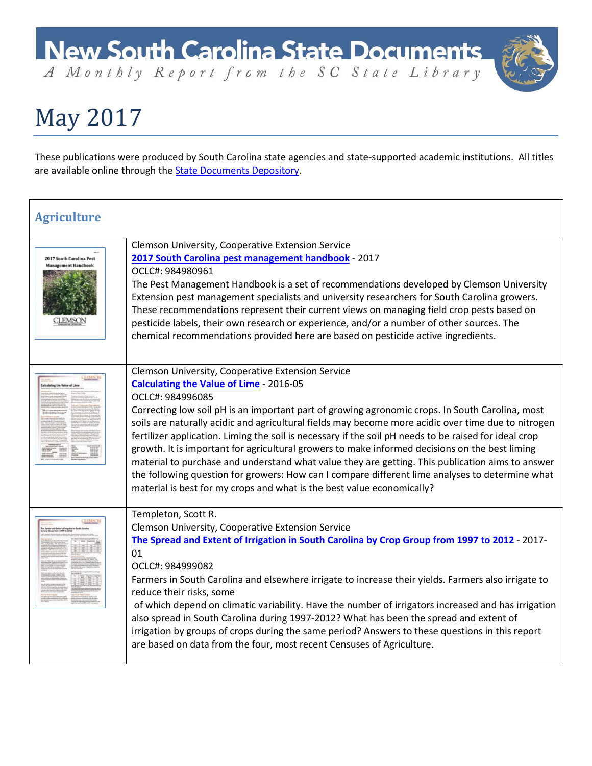A Monthly Report from the SC State Library

### May 2017

These publications were produced by South Carolina state agencies and state-supported academic institutions. All titles are available online through the **State Documents Depository**.

| <b>Agriculture</b>                                       |                                                                                                                                                                                                                                                                                                                                                                                                                                                                                                                                                                                                                                                                                                                                                                                                                               |
|----------------------------------------------------------|-------------------------------------------------------------------------------------------------------------------------------------------------------------------------------------------------------------------------------------------------------------------------------------------------------------------------------------------------------------------------------------------------------------------------------------------------------------------------------------------------------------------------------------------------------------------------------------------------------------------------------------------------------------------------------------------------------------------------------------------------------------------------------------------------------------------------------|
| 2017 South Carolina Pest<br>anagement Handboo<br>CLEMSON | Clemson University, Cooperative Extension Service<br>2017 South Carolina pest management handbook - 2017<br>OCLC#: 984980961<br>The Pest Management Handbook is a set of recommendations developed by Clemson University<br>Extension pest management specialists and university researchers for South Carolina growers.<br>These recommendations represent their current views on managing field crop pests based on<br>pesticide labels, their own research or experience, and/or a number of other sources. The<br>chemical recommendations provided here are based on pesticide active ingredients.                                                                                                                                                                                                                       |
|                                                          | Clemson University, Cooperative Extension Service<br><b>Calculating the Value of Lime - 2016-05</b><br>OCLC#: 984996085<br>Correcting low soil pH is an important part of growing agronomic crops. In South Carolina, most<br>soils are naturally acidic and agricultural fields may become more acidic over time due to nitrogen<br>fertilizer application. Liming the soil is necessary if the soil pH needs to be raised for ideal crop<br>growth. It is important for agricultural growers to make informed decisions on the best liming<br>material to purchase and understand what value they are getting. This publication aims to answer<br>the following question for growers: How can I compare different lime analyses to determine what<br>material is best for my crops and what is the best value economically? |
|                                                          | Templeton, Scott R.<br>Clemson University, Cooperative Extension Service<br>The Spread and Extent of Irrigation in South Carolina by Crop Group from 1997 to 2012 - 2017-<br>01<br>OCLC#: 984999082<br>Farmers in South Carolina and elsewhere irrigate to increase their yields. Farmers also irrigate to<br>reduce their risks, some<br>of which depend on climatic variability. Have the number of irrigators increased and has irrigation<br>also spread in South Carolina during 1997-2012? What has been the spread and extent of<br>irrigation by groups of crops during the same period? Answers to these questions in this report<br>are based on data from the four, most recent Censuses of Agriculture.                                                                                                           |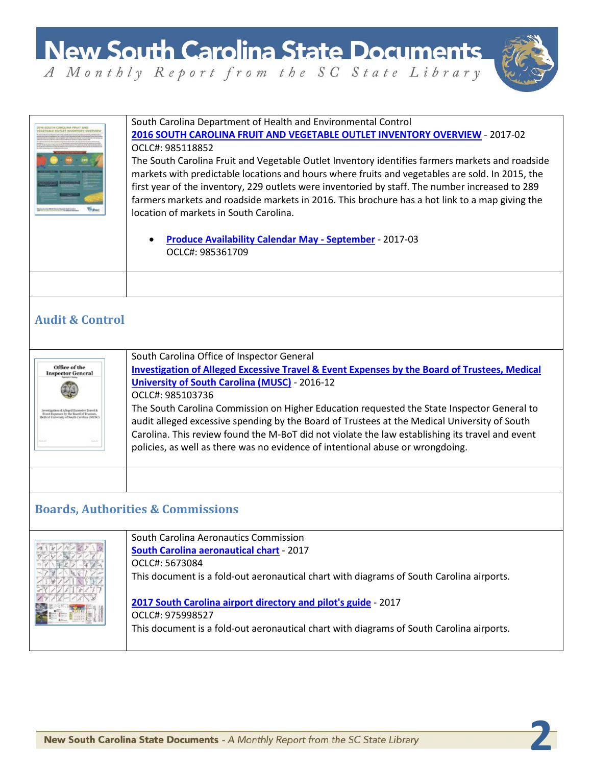

|                                                                                                                      | South Carolina Department of Health and Environmental Control<br>2016 SOUTH CAROLINA FRUIT AND VEGETABLE OUTLET INVENTORY OVERVIEW - 2017-02<br>OCLC#: 985118852<br>The South Carolina Fruit and Vegetable Outlet Inventory identifies farmers markets and roadside<br>markets with predictable locations and hours where fruits and vegetables are sold. In 2015, the<br>first year of the inventory, 229 outlets were inventoried by staff. The number increased to 289<br>farmers markets and roadside markets in 2016. This brochure has a hot link to a map giving the<br>location of markets in South Carolina.<br><b>Produce Availability Calendar May - September - 2017-03</b><br>OCLC#: 985361709 |
|----------------------------------------------------------------------------------------------------------------------|-------------------------------------------------------------------------------------------------------------------------------------------------------------------------------------------------------------------------------------------------------------------------------------------------------------------------------------------------------------------------------------------------------------------------------------------------------------------------------------------------------------------------------------------------------------------------------------------------------------------------------------------------------------------------------------------------------------|
|                                                                                                                      |                                                                                                                                                                                                                                                                                                                                                                                                                                                                                                                                                                                                                                                                                                             |
| <b>Audit &amp; Control</b>                                                                                           |                                                                                                                                                                                                                                                                                                                                                                                                                                                                                                                                                                                                                                                                                                             |
| Office of the<br><b>Inspector General</b><br>tion of Alleged Excessive Travel &<br>spenses by the Board of Trustres, | South Carolina Office of Inspector General<br><b>Investigation of Alleged Excessive Travel &amp; Event Expenses by the Board of Trustees, Medical</b><br><b>University of South Carolina (MUSC) - 2016-12</b><br>OCLC#: 985103736<br>The South Carolina Commission on Higher Education requested the State Inspector General to<br>audit alleged excessive spending by the Board of Trustees at the Medical University of South<br>Carolina. This review found the M-BoT did not violate the law establishing its travel and event<br>policies, as well as there was no evidence of intentional abuse or wrongdoing.                                                                                        |
|                                                                                                                      |                                                                                                                                                                                                                                                                                                                                                                                                                                                                                                                                                                                                                                                                                                             |
| <b>Boards, Authorities &amp; Commissions</b>                                                                         |                                                                                                                                                                                                                                                                                                                                                                                                                                                                                                                                                                                                                                                                                                             |
|                                                                                                                      | South Carolina Aeronautics Commission<br><b>South Carolina aeronautical chart - 2017</b><br>OCLC#: 5673084<br>This document is a fold-out aeronautical chart with diagrams of South Carolina airports.<br>2017 South Carolina airport directory and pilot's guide - 2017<br>OCLC#: 975998527<br>This document is a fold-out aeronautical chart with diagrams of South Carolina airports.                                                                                                                                                                                                                                                                                                                    |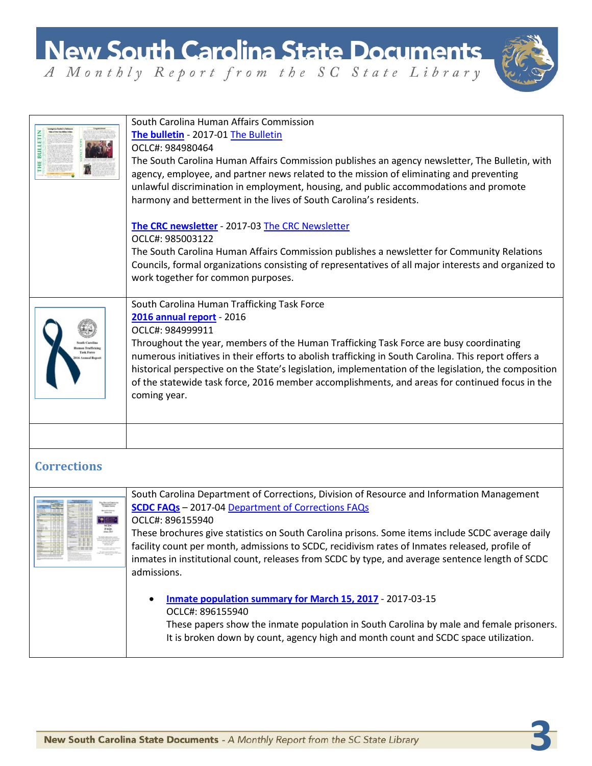

|                    | South Carolina Human Affairs Commission<br>The bulletin - 2017-01 The Bulletin<br>OCLC#: 984980464<br>The South Carolina Human Affairs Commission publishes an agency newsletter, The Bulletin, with<br>agency, employee, and partner news related to the mission of eliminating and preventing<br>unlawful discrimination in employment, housing, and public accommodations and promote<br>harmony and betterment in the lives of South Carolina's residents.<br>The CRC newsletter - 2017-03 The CRC Newsletter<br>OCLC#: 985003122<br>The South Carolina Human Affairs Commission publishes a newsletter for Community Relations<br>Councils, formal organizations consisting of representatives of all major interests and organized to<br>work together for common purposes. |
|--------------------|-----------------------------------------------------------------------------------------------------------------------------------------------------------------------------------------------------------------------------------------------------------------------------------------------------------------------------------------------------------------------------------------------------------------------------------------------------------------------------------------------------------------------------------------------------------------------------------------------------------------------------------------------------------------------------------------------------------------------------------------------------------------------------------|
|                    | South Carolina Human Trafficking Task Force<br>2016 annual report - 2016<br>OCLC#: 984999911<br>Throughout the year, members of the Human Trafficking Task Force are busy coordinating<br>numerous initiatives in their efforts to abolish trafficking in South Carolina. This report offers a<br>historical perspective on the State's legislation, implementation of the legislation, the composition<br>of the statewide task force, 2016 member accomplishments, and areas for continued focus in the<br>coming year.                                                                                                                                                                                                                                                         |
| <b>Corrections</b> |                                                                                                                                                                                                                                                                                                                                                                                                                                                                                                                                                                                                                                                                                                                                                                                   |
|                    | South Carolina Department of Corrections, Division of Resource and Information Management<br><b>SCDC FAQs</b> - 2017-04 Department of Corrections FAQs<br>OCLC#: 896155940<br>These brochures give statistics on South Carolina prisons. Some items include SCDC average daily<br>facility count per month, admissions to SCDC, recidivism rates of Inmates released, profile of<br>inmates in institutional count, releases from SCDC by type, and average sentence length of SCDC<br>admissions.                                                                                                                                                                                                                                                                                |
|                    | Inmate population summary for March 15, 2017 - 2017-03-15<br>OCLC#: 896155940<br>These papers show the inmate population in South Carolina by male and female prisoners.<br>It is broken down by count, agency high and month count and SCDC space utilization.                                                                                                                                                                                                                                                                                                                                                                                                                                                                                                                   |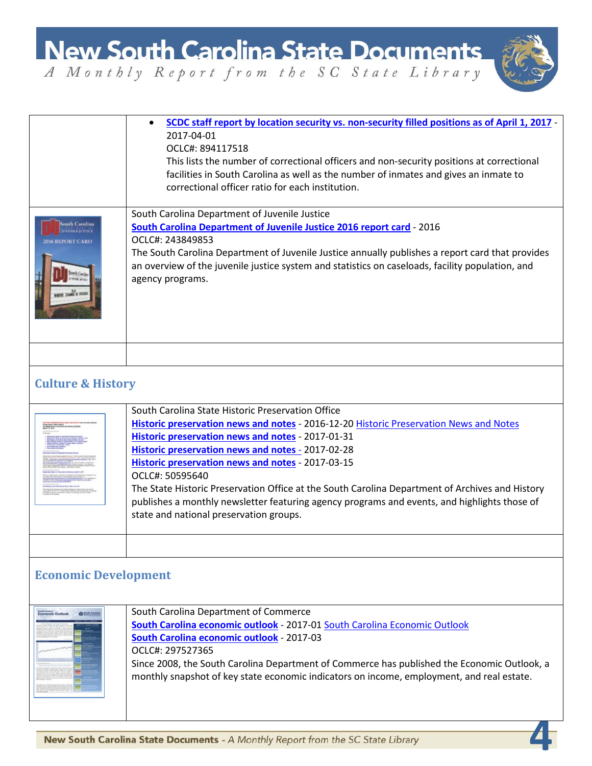**New South Carolina State Documents** A Monthly Report from the SC State Library



**4**

• **[SCDC staff report by location security vs. non-security filled positions as of April 1, 2017](http://dc.statelibrary.sc.gov/handle/10827/24253)** - 2017-04-01 OCLC#: 894117518 This lists the number of correctional officers and non-security positions at correctional facilities in South Carolina as well as the number of inmates and gives an inmate to correctional officer ratio for each institution. South Carolina Department of Juvenile Justice **[South Carolina Department of Juvenile Justice 2016 report card](http://dc.statelibrary.sc.gov/handle/10827/24247)** - 2016 **NISBERNING** OCLC#: 243849853 The South Carolina Department of Juvenile Justice annually publishes a report card that provides an overview of the juvenile justice system and statistics on caseloads, facility population, and agency programs. **Culture & History** South Carolina State Historic Preservation Office **[Historic preservation news and notes](http://dc.statelibrary.sc.gov/handle/10827/24217)** - 2016-12-20 [Historic Preservation](http://dc.statelibrary.sc.gov/handle/10827/15075) News and Notes **[Historic preservation news and notes](http://dc.statelibrary.sc.gov/handle/10827/24218)** - 2017-01-31 **[Historic preservation news and notes](http://dc.statelibrary.sc.gov/handle/10827/24219)** - 2017-02-28 **[Historic preservation news and notes](http://dc.statelibrary.sc.gov/handle/10827/24220)** - 2017-03-15 OCLC#: 50595640 The State Historic Preservation Office at the South Carolina Department of Archives and History publishes a monthly newsletter featuring agency programs and events, and highlights those of state and national preservation groups. **Economic Development** South Carolina Department of Commerce Longwin Outlook **O** handless **[South Carolina economic outlook](http://dc.statelibrary.sc.gov/handle/10827/24215)** - 2017-01 [South Carolina Economic Outlook](http://dc.statelibrary.sc.gov/handle/10827/14723) **[South Carolina economic outlook](http://dc.statelibrary.sc.gov/handle/10827/24216)** - 2017-03 OCLC#: 297527365 Since 2008, the South Carolina Department of Commerce has published the Economic Outlook, a monthly snapshot of key state economic indicators on income, employment, and real estate.New South Carolina State Documents - A Monthly Report from the SC State Library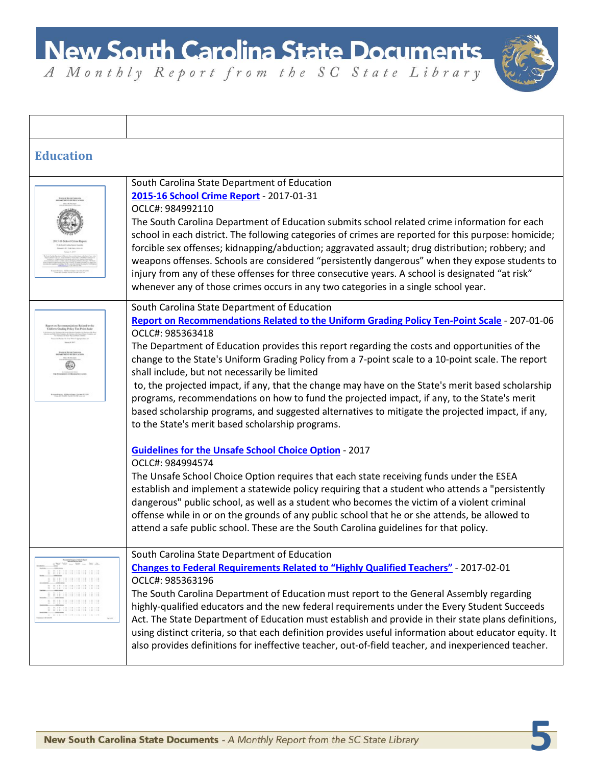

| <b>Education</b>                                      |                                                                                                                                                                                                                                                                                                                                                                                                                                                                                                                                                                                                                                                                                                                                                                                    |
|-------------------------------------------------------|------------------------------------------------------------------------------------------------------------------------------------------------------------------------------------------------------------------------------------------------------------------------------------------------------------------------------------------------------------------------------------------------------------------------------------------------------------------------------------------------------------------------------------------------------------------------------------------------------------------------------------------------------------------------------------------------------------------------------------------------------------------------------------|
|                                                       | South Carolina State Department of Education<br>2015-16 School Crime Report - 2017-01-31<br>OCLC#: 984992110<br>The South Carolina Department of Education submits school related crime information for each<br>school in each district. The following categories of crimes are reported for this purpose: homicide;<br>forcible sex offenses; kidnapping/abduction; aggravated assault; drug distribution; robbery; and<br>weapons offenses. Schools are considered "persistently dangerous" when they expose students to<br>injury from any of these offenses for three consecutive years. A school is designated "at risk"<br>whenever any of those crimes occurs in any two categories in a single school year.                                                                |
| taling Policy Ten-Poin<br>Are all high Audi forms in  | South Carolina State Department of Education<br>Report on Recommendations Related to the Uniform Grading Policy Ten-Point Scale - 207-01-06<br>OCLC#: 985363418<br>The Department of Education provides this report regarding the costs and opportunities of the<br>change to the State's Uniform Grading Policy from a 7-point scale to a 10-point scale. The report<br>shall include, but not necessarily be limited<br>to, the projected impact, if any, that the change may have on the State's merit based scholarship<br>programs, recommendations on how to fund the projected impact, if any, to the State's merit<br>based scholarship programs, and suggested alternatives to mitigate the projected impact, if any,<br>to the State's merit based scholarship programs. |
|                                                       | <b>Guidelines for the Unsafe School Choice Option - 2017</b><br>OCLC#: 984994574<br>The Unsafe School Choice Option requires that each state receiving funds under the ESEA<br>establish and implement a statewide policy requiring that a student who attends a "persistently<br>dangerous" public school, as well as a student who becomes the victim of a violent criminal<br>offense while in or on the grounds of any public school that he or she attends, be allowed to<br>attend a safe public school. These are the South Carolina guidelines for that policy.                                                                                                                                                                                                            |
| <u>am</u> mamm mir<br>前面 计自由 计目标<br><b>ERRITRIERE</b> | South Carolina State Department of Education<br><b>Changes to Federal Requirements Related to "Highly Qualified Teachers"</b> - 2017-02-01<br>OCLC#: 985363196<br>The South Carolina Department of Education must report to the General Assembly regarding<br>highly-qualified educators and the new federal requirements under the Every Student Succeeds<br>Act. The State Department of Education must establish and provide in their state plans definitions,<br>using distinct criteria, so that each definition provides useful information about educator equity. It<br>also provides definitions for ineffective teacher, out-of-field teacher, and inexperienced teacher.                                                                                                 |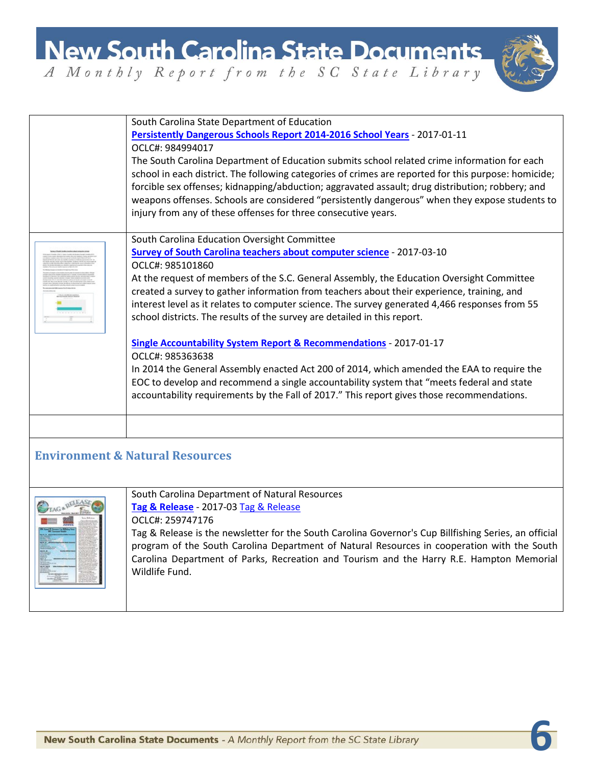**New South Carolina State Documents** A Monthly Report from the SC State Library



**6**

South Carolina State Department of Education **[Persistently Dangerous Schools Report 2014-2016 School Years](http://dc.statelibrary.sc.gov/handle/10827/24267)** - 2017-01-11 OCLC#: 984994017 The South Carolina Department of Education submits school related crime information for each school in each district. The following categories of crimes are reported for this purpose: homicide; forcible sex offenses; kidnapping/abduction; aggravated assault; drug distribution; robbery; and

injury from any of these offenses for three consecutive years.

South Carolina Education Oversight Committee



### **[Single Accountability System Report & Recommendations](http://dc.statelibrary.sc.gov/handle/10827/24255)** - 2017-01-17

school districts. The results of the survey are detailed in this report.

**[Survey of South Carolina teachers about computer science](http://dc.statelibrary.sc.gov/handle/10827/24254)** - 2017-03-10

OCLC#: 985363638

OCLC#: 985101860

In 2014 the General Assembly enacted Act 200 of 2014, which amended the EAA to require the EOC to develop and recommend a single accountability system that "meets federal and state accountability requirements by the Fall of 2017." This report gives those recommendations.

At the request of members of the S.C. General Assembly, the Education Oversight Committee created a survey to gather information from teachers about their experience, training, and interest level as it relates to computer science. The survey generated 4,466 responses from 55

weapons offenses. Schools are considered "persistently dangerous" when they expose students to

#### **Environment & Natural Resources**



South Carolina Department of Natural Resources **[Tag & Release](http://dc.statelibrary.sc.gov/handle/10827/24223)** - 2017-03 [Tag & Release](http://dc.statelibrary.sc.gov/handle/10827/15346)

#### OCLC#: 259747176

Tag & Release is the newsletter for the South Carolina Governor's Cup Billfishing Series, an official program of the South Carolina Department of Natural Resources in cooperation with the South Carolina Department of Parks, Recreation and Tourism and the Harry R.E. Hampton Memorial Wildlife Fund.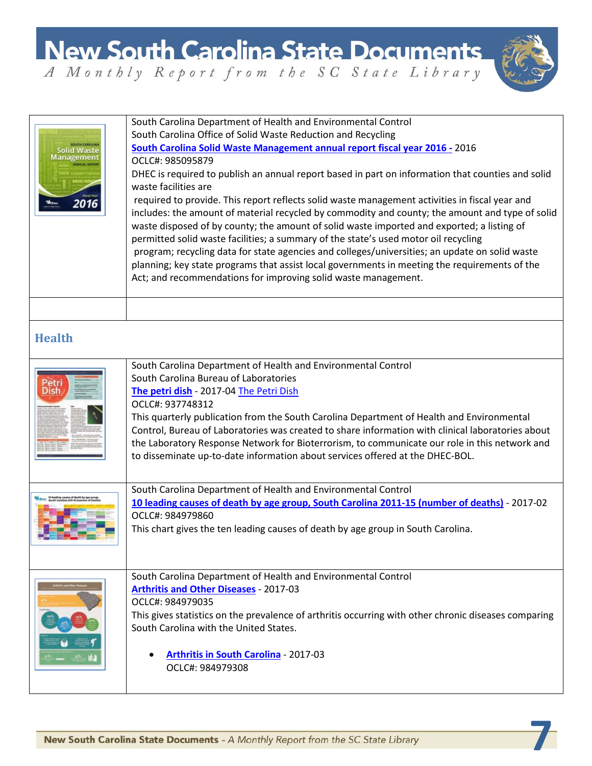

| Solid Waste<br>Managemen<br>2016 | South Carolina Department of Health and Environmental Control<br>South Carolina Office of Solid Waste Reduction and Recycling<br>South Carolina Solid Waste Management annual report fiscal year 2016 - 2016<br>OCLC#: 985095879<br>DHEC is required to publish an annual report based in part on information that counties and solid<br>waste facilities are<br>required to provide. This report reflects solid waste management activities in fiscal year and<br>includes: the amount of material recycled by commodity and county; the amount and type of solid<br>waste disposed of by county; the amount of solid waste imported and exported; a listing of<br>permitted solid waste facilities; a summary of the state's used motor oil recycling<br>program; recycling data for state agencies and colleges/universities; an update on solid waste<br>planning; key state programs that assist local governments in meeting the requirements of the<br>Act; and recommendations for improving solid waste management. |
|----------------------------------|------------------------------------------------------------------------------------------------------------------------------------------------------------------------------------------------------------------------------------------------------------------------------------------------------------------------------------------------------------------------------------------------------------------------------------------------------------------------------------------------------------------------------------------------------------------------------------------------------------------------------------------------------------------------------------------------------------------------------------------------------------------------------------------------------------------------------------------------------------------------------------------------------------------------------------------------------------------------------------------------------------------------------|
| <b>Health</b>                    |                                                                                                                                                                                                                                                                                                                                                                                                                                                                                                                                                                                                                                                                                                                                                                                                                                                                                                                                                                                                                              |
| Petri<br>Dish                    | South Carolina Department of Health and Environmental Control<br>South Carolina Bureau of Laboratories<br>The petri dish - 2017-04 The Petri Dish<br>OCLC#: 937748312<br>This quarterly publication from the South Carolina Department of Health and Environmental<br>Control, Bureau of Laboratories was created to share information with clinical laboratories about<br>the Laboratory Response Network for Bioterrorism, to communicate our role in this network and<br>to disseminate up-to-date information about services offered at the DHEC-BOL.                                                                                                                                                                                                                                                                                                                                                                                                                                                                    |
|                                  | South Carolina Department of Health and Environmental Control<br>10 leading causes of death by age group, South Carolina 2011-15 (number of deaths) - 2017-02<br>OCLC#: 984979860<br>This chart gives the ten leading causes of death by age group in South Carolina.                                                                                                                                                                                                                                                                                                                                                                                                                                                                                                                                                                                                                                                                                                                                                        |
|                                  | South Carolina Department of Health and Environmental Control<br><b>Arthritis and Other Diseases - 2017-03</b><br>OCLC#: 984979035<br>This gives statistics on the prevalence of arthritis occurring with other chronic diseases comparing<br>South Carolina with the United States.<br><b>Arthritis in South Carolina - 2017-03</b><br>OCLC#: 984979308                                                                                                                                                                                                                                                                                                                                                                                                                                                                                                                                                                                                                                                                     |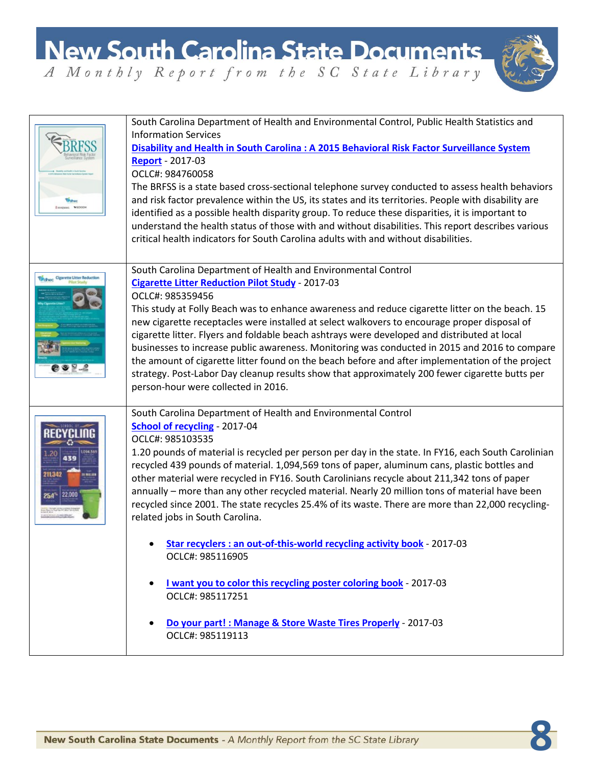

|                                                      | South Carolina Department of Health and Environmental Control, Public Health Statistics and<br><b>Information Services</b><br>Disability and Health in South Carolina : A 2015 Behavioral Risk Factor Surveillance System<br><b>Report</b> - 2017-03<br>OCLC#: 984760058<br>The BRFSS is a state based cross-sectional telephone survey conducted to assess health behaviors<br>and risk factor prevalence within the US, its states and its territories. People with disability are<br>identified as a possible health disparity group. To reduce these disparities, it is important to<br>understand the health status of those with and without disabilities. This report describes various<br>critical health indicators for South Carolina adults with and without disabilities.         |
|------------------------------------------------------|-----------------------------------------------------------------------------------------------------------------------------------------------------------------------------------------------------------------------------------------------------------------------------------------------------------------------------------------------------------------------------------------------------------------------------------------------------------------------------------------------------------------------------------------------------------------------------------------------------------------------------------------------------------------------------------------------------------------------------------------------------------------------------------------------|
| <b><i><u>Dichoc</u></i></b> Cigarette Litter Reducti | South Carolina Department of Health and Environmental Control<br><b>Cigarette Litter Reduction Pilot Study - 2017-03</b><br>OCLC#: 985359456<br>This study at Folly Beach was to enhance awareness and reduce cigarette litter on the beach. 15<br>new cigarette receptacles were installed at select walkovers to encourage proper disposal of<br>cigarette litter. Flyers and foldable beach ashtrays were developed and distributed at local<br>businesses to increase public awareness. Monitoring was conducted in 2015 and 2016 to compare<br>the amount of cigarette litter found on the beach before and after implementation of the project<br>strategy. Post-Labor Day cleanup results show that approximately 200 fewer cigarette butts per<br>person-hour were collected in 2016. |
| 211342                                               | South Carolina Department of Health and Environmental Control<br>School of recycling - 2017-04<br>OCLC#: 985103535<br>1.20 pounds of material is recycled per person per day in the state. In FY16, each South Carolinian<br>recycled 439 pounds of material. 1,094,569 tons of paper, aluminum cans, plastic bottles and<br>other material were recycled in FY16. South Carolinians recycle about 211,342 tons of paper<br>annually - more than any other recycled material. Nearly 20 million tons of material have been<br>recycled since 2001. The state recycles 25.4% of its waste. There are more than 22,000 recycling-<br>related jobs in South Carolina.                                                                                                                            |
|                                                      | Star recyclers : an out-of-this-world recycling activity book - 2017-03<br>OCLC#: 985116905                                                                                                                                                                                                                                                                                                                                                                                                                                                                                                                                                                                                                                                                                                   |
|                                                      | I want you to color this recycling poster coloring book - 2017-03<br>$\bullet$<br>OCLC#: 985117251                                                                                                                                                                                                                                                                                                                                                                                                                                                                                                                                                                                                                                                                                            |
|                                                      | Do your part! : Manage & Store Waste Tires Properly - 2017-03<br>OCLC#: 985119113                                                                                                                                                                                                                                                                                                                                                                                                                                                                                                                                                                                                                                                                                                             |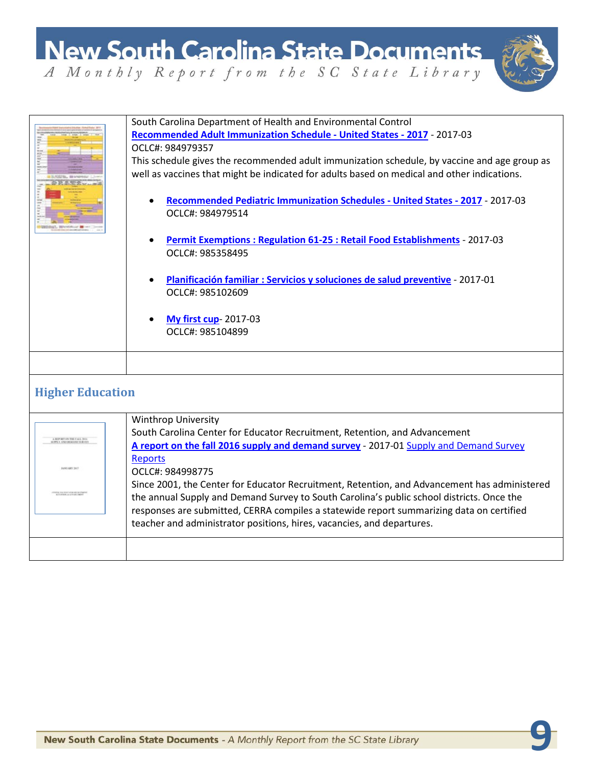

|                                           | South Carolina Department of Health and Environmental Control<br>Recommended Adult Immunization Schedule - United States - 2017 - 2017-03<br>OCLC#: 984979357<br>This schedule gives the recommended adult immunization schedule, by vaccine and age group as<br>well as vaccines that might be indicated for adults based on medical and other indications.<br>Recommended Pediatric Immunization Schedules - United States - 2017 - 2017-03<br>OCLC#: 984979514<br><b>Permit Exemptions: Regulation 61-25 : Retail Food Establishments - 2017-03</b><br>OCLC#: 985358495<br>Planificación familiar : Servicios y soluciones de salud preventive - 2017-01<br>OCLC#: 985102609 |
|-------------------------------------------|---------------------------------------------------------------------------------------------------------------------------------------------------------------------------------------------------------------------------------------------------------------------------------------------------------------------------------------------------------------------------------------------------------------------------------------------------------------------------------------------------------------------------------------------------------------------------------------------------------------------------------------------------------------------------------|
|                                           | <b>My first cup-2017-03</b><br>OCLC#: 985104899                                                                                                                                                                                                                                                                                                                                                                                                                                                                                                                                                                                                                                 |
|                                           |                                                                                                                                                                                                                                                                                                                                                                                                                                                                                                                                                                                                                                                                                 |
| <b>Higher Education</b>                   |                                                                                                                                                                                                                                                                                                                                                                                                                                                                                                                                                                                                                                                                                 |
| <b>EFORT ON THE FALL S</b><br>ANGARY 2017 | <b>Winthrop University</b><br>South Carolina Center for Educator Recruitment, Retention, and Advancement<br>A report on the fall 2016 supply and demand survey - 2017-01 Supply and Demand Survey<br><b>Reports</b><br>OCLC#: 984998775<br>Since 2001, the Center for Educator Recruitment, Retention, and Advancement has administered                                                                                                                                                                                                                                                                                                                                         |
|                                           | the annual Supply and Demand Survey to South Carolina's public school districts. Once the<br>responses are submitted, CERRA compiles a statewide report summarizing data on certified<br>teacher and administrator positions, hires, vacancies, and departures.                                                                                                                                                                                                                                                                                                                                                                                                                 |
|                                           |                                                                                                                                                                                                                                                                                                                                                                                                                                                                                                                                                                                                                                                                                 |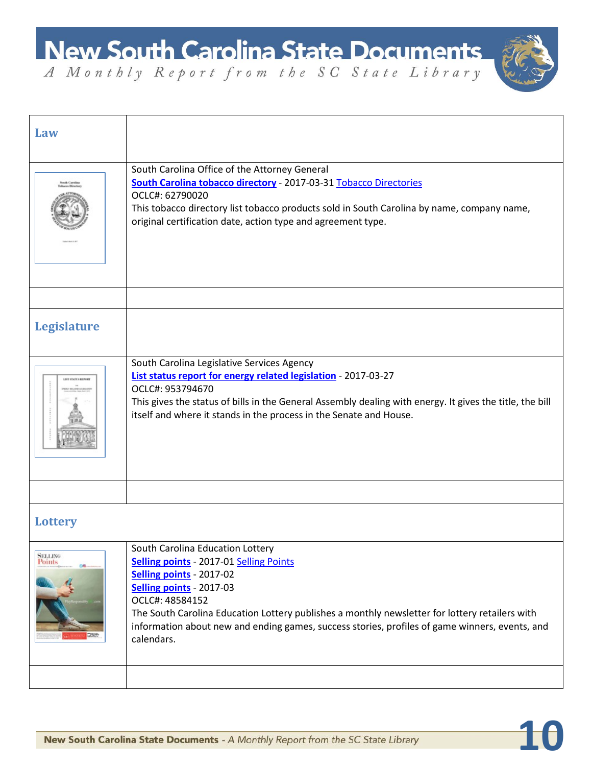

 $\overline{1}$ 

| Law                       |                                                                                                                                                                                                                                                                                                                                                                                 |
|---------------------------|---------------------------------------------------------------------------------------------------------------------------------------------------------------------------------------------------------------------------------------------------------------------------------------------------------------------------------------------------------------------------------|
|                           | South Carolina Office of the Attorney General<br>South Carolina tobacco directory - 2017-03-31 Tobacco Directories<br>OCLC#: 62790020<br>This tobacco directory list tobacco products sold in South Carolina by name, company name,<br>original certification date, action type and agreement type.                                                                             |
|                           |                                                                                                                                                                                                                                                                                                                                                                                 |
| <b>Legislature</b>        |                                                                                                                                                                                                                                                                                                                                                                                 |
| <b>LIST STATUS BEFORE</b> | South Carolina Legislative Services Agency<br>List status report for energy related legislation - 2017-03-27<br>OCLC#: 953794670<br>This gives the status of bills in the General Assembly dealing with energy. It gives the title, the bill<br>itself and where it stands in the process in the Senate and House.                                                              |
|                           |                                                                                                                                                                                                                                                                                                                                                                                 |
| <b>Lottery</b>            |                                                                                                                                                                                                                                                                                                                                                                                 |
| <b>SELLING</b><br>Points  | South Carolina Education Lottery<br><b>Selling points - 2017-01 Selling Points</b><br>Selling points - 2017-02<br>Selling points - 2017-03<br>OCLC#: 48584152<br>The South Carolina Education Lottery publishes a monthly newsletter for lottery retailers with<br>information about new and ending games, success stories, profiles of game winners, events, and<br>calendars. |
|                           |                                                                                                                                                                                                                                                                                                                                                                                 |